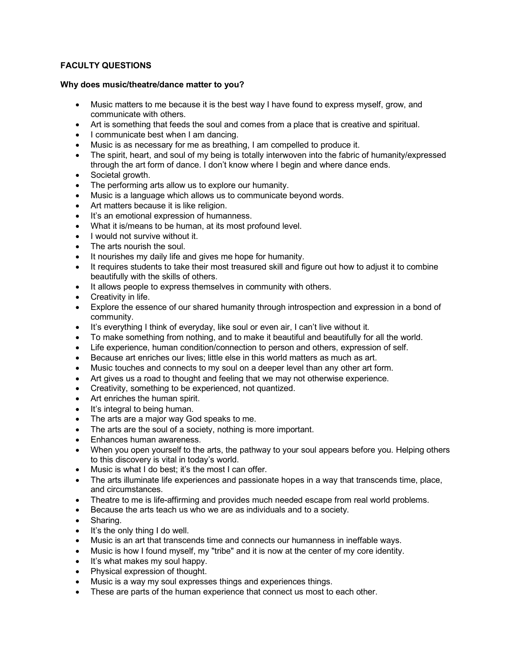# **FACULTY QUESTIONS**

## **Why does music/theatre/dance matter to you?**

- Music matters to me because it is the best way I have found to express myself, grow, and communicate with others.
- Art is something that feeds the soul and comes from a place that is creative and spiritual.
- I communicate best when I am dancing.
- Music is as necessary for me as breathing, I am compelled to produce it.
- The spirit, heart, and soul of my being is totally interwoven into the fabric of humanity/expressed through the art form of dance. I don't know where I begin and where dance ends.
- Societal growth.
- The performing arts allow us to explore our humanity.
- Music is a language which allows us to communicate beyond words.
- Art matters because it is like religion.
- It's an emotional expression of humanness.
- What it is/means to be human, at its most profound level.
- I would not survive without it.
- The arts nourish the soul.
- It nourishes my daily life and gives me hope for humanity.
- It requires students to take their most treasured skill and figure out how to adjust it to combine beautifully with the skills of others.
- It allows people to express themselves in community with others.
- Creativity in life.
- Explore the essence of our shared humanity through introspection and expression in a bond of community.
- It's everything I think of everyday, like soul or even air, I can't live without it.
- To make something from nothing, and to make it beautiful and beautifully for all the world.
- Life experience, human condition/connection to person and others, expression of self.
- Because art enriches our lives; little else in this world matters as much as art.
- Music touches and connects to my soul on a deeper level than any other art form.
- Art gives us a road to thought and feeling that we may not otherwise experience.
- Creativity, something to be experienced, not quantized.
- Art enriches the human spirit.
- It's integral to being human.
- The arts are a major way God speaks to me.
- The arts are the soul of a society, nothing is more important.
- Enhances human awareness.
- When you open yourself to the arts, the pathway to your soul appears before you. Helping others to this discovery is vital in today's world.
- Music is what I do best; it's the most I can offer.
- The arts illuminate life experiences and passionate hopes in a way that transcends time, place, and circumstances.
- Theatre to me is life-affirming and provides much needed escape from real world problems.
- Because the arts teach us who we are as individuals and to a society.
- Sharing.
- It's the only thing I do well.
- Music is an art that transcends time and connects our humanness in ineffable ways.
- Music is how I found myself, my "tribe" and it is now at the center of my core identity.
- It's what makes my soul happy.
- Physical expression of thought.
- Music is a way my soul expresses things and experiences things.
- These are parts of the human experience that connect us most to each other.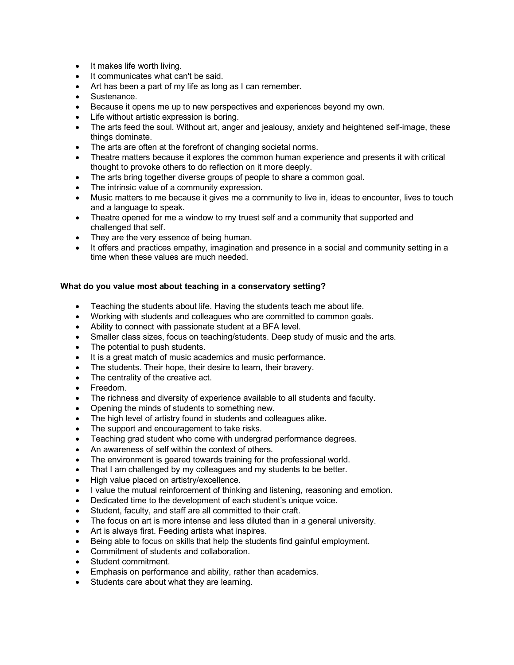- It makes life worth living.
- It communicates what can't be said.
- Art has been a part of my life as long as I can remember.
- Sustenance.
- Because it opens me up to new perspectives and experiences beyond my own.
- Life without artistic expression is boring.
- The arts feed the soul. Without art, anger and jealousy, anxiety and heightened self-image, these things dominate.
- The arts are often at the forefront of changing societal norms.
- Theatre matters because it explores the common human experience and presents it with critical thought to provoke others to do reflection on it more deeply.
- The arts bring together diverse groups of people to share a common goal.
- The intrinsic value of a community expression.
- Music matters to me because it gives me a community to live in, ideas to encounter, lives to touch and a language to speak.
- Theatre opened for me a window to my truest self and a community that supported and challenged that self.
- They are the very essence of being human.
- It offers and practices empathy, imagination and presence in a social and community setting in a time when these values are much needed.

#### **What do you value most about teaching in a conservatory setting?**

- Teaching the students about life. Having the students teach me about life.
- Working with students and colleagues who are committed to common goals.
- Ability to connect with passionate student at a BFA level.
- Smaller class sizes, focus on teaching/students. Deep study of music and the arts.
- The potential to push students.
- It is a great match of music academics and music performance.
- The students. Their hope, their desire to learn, their bravery.
- The centrality of the creative act.
- Freedom.
- The richness and diversity of experience available to all students and faculty.
- Opening the minds of students to something new.
- The high level of artistry found in students and colleagues alike.
- The support and encouragement to take risks.
- Teaching grad student who come with undergrad performance degrees.
- An awareness of self within the context of others.
- The environment is geared towards training for the professional world.
- That I am challenged by my colleagues and my students to be better.
- High value placed on artistry/excellence.
- I value the mutual reinforcement of thinking and listening, reasoning and emotion.
- Dedicated time to the development of each student's unique voice.
- Student, faculty, and staff are all committed to their craft.
- The focus on art is more intense and less diluted than in a general university.
- Art is always first. Feeding artists what inspires.
- Being able to focus on skills that help the students find gainful employment.
- Commitment of students and collaboration.
- Student commitment.
- Emphasis on performance and ability, rather than academics.
- Students care about what they are learning.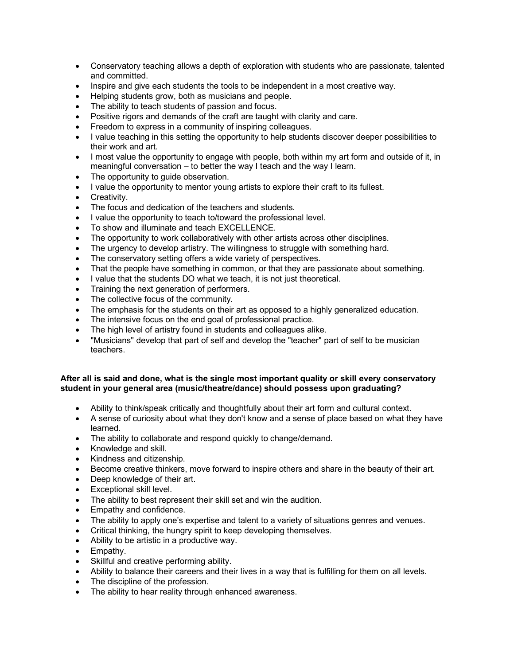- Conservatory teaching allows a depth of exploration with students who are passionate, talented and committed.
- Inspire and give each students the tools to be independent in a most creative way.
- Helping students grow, both as musicians and people.
- The ability to teach students of passion and focus.
- Positive rigors and demands of the craft are taught with clarity and care.
- Freedom to express in a community of inspiring colleagues.
- I value teaching in this setting the opportunity to help students discover deeper possibilities to their work and art.
- I most value the opportunity to engage with people, both within my art form and outside of it, in meaningful conversation – to better the way I teach and the way I learn.
- The opportunity to guide observation.
- I value the opportunity to mentor young artists to explore their craft to its fullest.
- Creativity.
- The focus and dedication of the teachers and students.
- I value the opportunity to teach to/toward the professional level.
- To show and illuminate and teach EXCELLENCE.
- The opportunity to work collaboratively with other artists across other disciplines.
- The urgency to develop artistry. The willingness to struggle with something hard.
- The conservatory setting offers a wide variety of perspectives.
- That the people have something in common, or that they are passionate about something.
- I value that the students DO what we teach, it is not just theoretical.
- Training the next generation of performers.
- The collective focus of the community.
- The emphasis for the students on their art as opposed to a highly generalized education.
- The intensive focus on the end goal of professional practice.
- The high level of artistry found in students and colleagues alike.
- "Musicians" develop that part of self and develop the "teacher" part of self to be musician teachers.

## **After all is said and done, what is the single most important quality or skill every conservatory student in your general area (music/theatre/dance) should possess upon graduating?**

- Ability to think/speak critically and thoughtfully about their art form and cultural context.
- A sense of curiosity about what they don't know and a sense of place based on what they have learned.
- The ability to collaborate and respond quickly to change/demand.
- Knowledge and skill.
- Kindness and citizenship.
- Become creative thinkers, move forward to inspire others and share in the beauty of their art.
- Deep knowledge of their art.
- Exceptional skill level.
- The ability to best represent their skill set and win the audition.
- Empathy and confidence.
- The ability to apply one's expertise and talent to a variety of situations genres and venues.
- Critical thinking, the hungry spirit to keep developing themselves.
- Ability to be artistic in a productive way.
- Empathy.
- Skillful and creative performing ability.
- Ability to balance their careers and their lives in a way that is fulfilling for them on all levels.
- The discipline of the profession.
- The ability to hear reality through enhanced awareness.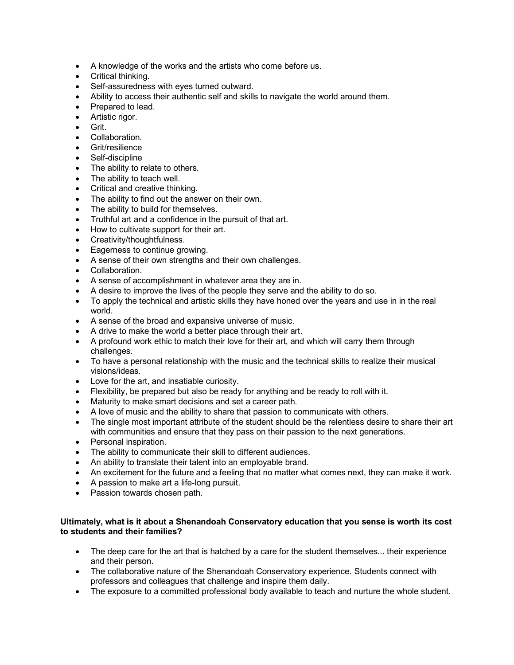- A knowledge of the works and the artists who come before us.
- Critical thinking.
- Self-assuredness with eyes turned outward.
- Ability to access their authentic self and skills to navigate the world around them.
- Prepared to lead.
- Artistic rigor.
- Grit.
- Collaboration.
- Grit/resilience
- Self-discipline
- The ability to relate to others.
- The ability to teach well.
- Critical and creative thinking.
- The ability to find out the answer on their own.
- The ability to build for themselves.
- Truthful art and a confidence in the pursuit of that art.
- How to cultivate support for their art.
- Creativity/thoughtfulness.
- Eagerness to continue growing.
- A sense of their own strengths and their own challenges.
- Collaboration.
- A sense of accomplishment in whatever area they are in.
- A desire to improve the lives of the people they serve and the ability to do so.
- To apply the technical and artistic skills they have honed over the years and use in in the real world.
- A sense of the broad and expansive universe of music.
- A drive to make the world a better place through their art.
- A profound work ethic to match their love for their art, and which will carry them through challenges.
- To have a personal relationship with the music and the technical skills to realize their musical visions/ideas.
- Love for the art, and insatiable curiosity.
- Flexibility, be prepared but also be ready for anything and be ready to roll with it.
- Maturity to make smart decisions and set a career path.
- A love of music and the ability to share that passion to communicate with others.
- The single most important attribute of the student should be the relentless desire to share their art with communities and ensure that they pass on their passion to the next generations.
- Personal inspiration.
- The ability to communicate their skill to different audiences.
- An ability to translate their talent into an employable brand.
- An excitement for the future and a feeling that no matter what comes next, they can make it work.
- A passion to make art a life-long pursuit.
- Passion towards chosen path.

# **Ultimately, what is it about a Shenandoah Conservatory education that you sense is worth its cost to students and their families?**

- The deep care for the art that is hatched by a care for the student themselves... their experience and their person.
- The collaborative nature of the Shenandoah Conservatory experience. Students connect with professors and colleagues that challenge and inspire them daily.
- The exposure to a committed professional body available to teach and nurture the whole student.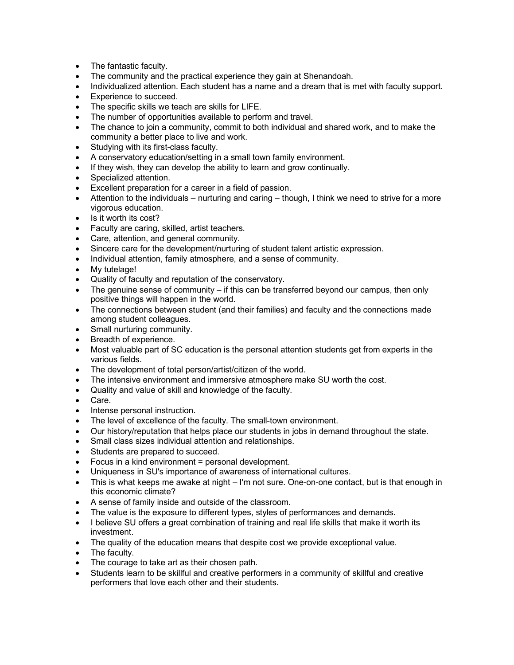- The fantastic faculty.
- The community and the practical experience they gain at Shenandoah.
- Individualized attention. Each student has a name and a dream that is met with faculty support.
- Experience to succeed.
- The specific skills we teach are skills for LIFE.
- The number of opportunities available to perform and travel.
- The chance to join a community, commit to both individual and shared work, and to make the community a better place to live and work.
- Studying with its first-class faculty.
- A conservatory education/setting in a small town family environment.
- If they wish, they can develop the ability to learn and grow continually.
- Specialized attention.
- Excellent preparation for a career in a field of passion.
- Attention to the individuals nurturing and caring though, I think we need to strive for a more vigorous education.
- Is it worth its cost?
- Faculty are caring, skilled, artist teachers.
- Care, attention, and general community.
- Sincere care for the development/nurturing of student talent artistic expression.
- Individual attention, family atmosphere, and a sense of community.
- My tutelage!
- Quality of faculty and reputation of the conservatory.
- The genuine sense of community if this can be transferred beyond our campus, then only positive things will happen in the world.
- The connections between student (and their families) and faculty and the connections made among student colleagues.
- Small nurturing community.
- Breadth of experience.
- Most valuable part of SC education is the personal attention students get from experts in the various fields.
- The development of total person/artist/citizen of the world.
- The intensive environment and immersive atmosphere make SU worth the cost.
- Quality and value of skill and knowledge of the faculty.
- Care.
- Intense personal instruction.
- The level of excellence of the faculty. The small-town environment.
- Our history/reputation that helps place our students in jobs in demand throughout the state.
- Small class sizes individual attention and relationships.
- Students are prepared to succeed.
- Focus in a kind environment = personal development.
- Uniqueness in SU's importance of awareness of international cultures.
- This is what keeps me awake at night I'm not sure. One-on-one contact, but is that enough in this economic climate?
- A sense of family inside and outside of the classroom.
- The value is the exposure to different types, styles of performances and demands.
- I believe SU offers a great combination of training and real life skills that make it worth its investment.
- The quality of the education means that despite cost we provide exceptional value.
- The faculty.
- The courage to take art as their chosen path.
- Students learn to be skillful and creative performers in a community of skillful and creative performers that love each other and their students.